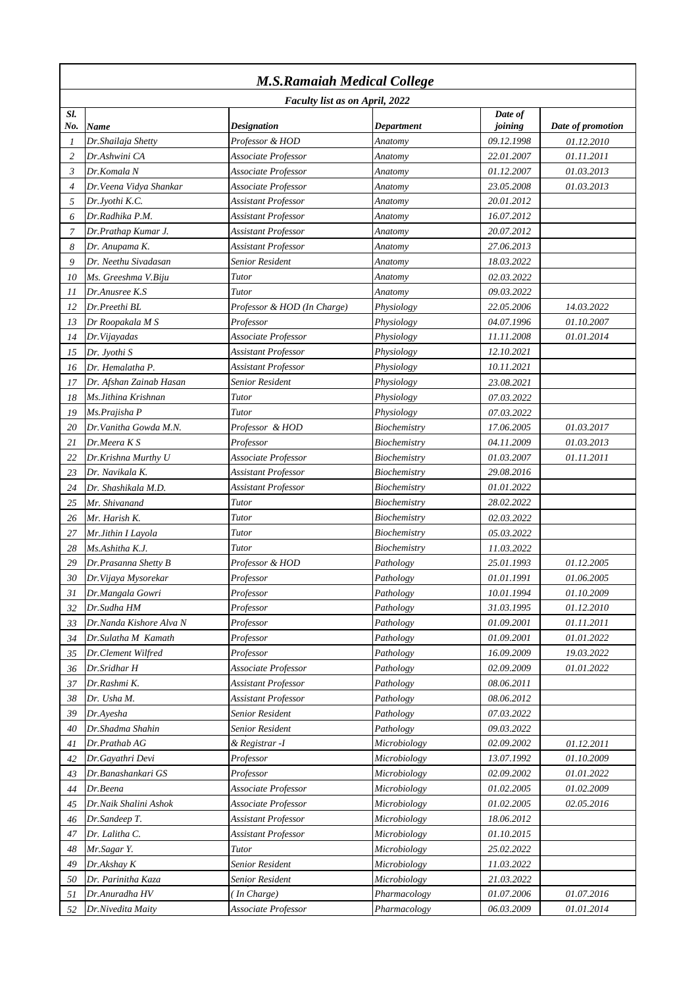| <b>M.S.Ramaiah Medical College</b> |                                |                             |              |            |                   |  |
|------------------------------------|--------------------------------|-----------------------------|--------------|------------|-------------------|--|
|                                    | Faculty list as on April, 2022 |                             |              |            |                   |  |
| Sl.                                |                                |                             |              | Date of    |                   |  |
| No.                                | Name                           | <b>Designation</b>          | Department   | joining    | Date of promotion |  |
| 1                                  | Dr. Shailaja Shetty            | Professor & HOD             | Anatomy      | 09.12.1998 | 01.12.2010        |  |
| 2                                  | Dr.Ashwini CA                  | Associate Professor         | Anatomy      | 22.01.2007 | 01.11.2011        |  |
| 3                                  | Dr.Komala N                    | Associate Professor         | Anatomy      | 01.12.2007 | 01.03.2013        |  |
| $\overline{4}$                     | Dr.Veena Vidva Shankar         | Associate Professor         | Anatomy      | 23.05.2008 | 01.03.2013        |  |
| 5                                  | Dr.Jyothi K.C.                 | Assistant Professor         | Anatomy      | 20.01.2012 |                   |  |
| 6                                  | Dr.Radhika P.M.                | Assistant Professor         | Anatomy      | 16.07.2012 |                   |  |
| 7                                  | Dr.Prathap Kumar J.            | Assistant Professor         | Anatomy      | 20.07.2012 |                   |  |
| 8                                  | Dr. Anupama K.                 | Assistant Professor         | Anatomy      | 27.06.2013 |                   |  |
| 9                                  | Dr. Neethu Sivadasan           | Senior Resident             | Anatomy      | 18.03.2022 |                   |  |
| 10                                 | Ms. Greeshma V.Biju            | Tutor                       | Anatomy      | 02.03.2022 |                   |  |
| 11                                 | Dr.Anusree K.S                 | Tutor                       | Anatomy      | 09.03.2022 |                   |  |
| 12                                 | Dr.Preethi BL                  | Professor & HOD (In Charge) | Physiology   | 22.05.2006 | 14.03.2022        |  |
| 13                                 | Dr Roopakala M S               | Professor                   | Physiology   | 04.07.1996 | 01.10.2007        |  |
| 14                                 | Dr.Vijayadas                   | Associate Professor         | Physiology   | 11.11.2008 | 01.01.2014        |  |
| 15                                 | Dr. Jyothi S                   | Assistant Professor         | Physiology   | 12.10.2021 |                   |  |
| 16                                 | Dr. Hemalatha P.               | Assistant Professor         | Physiology   | 10.11.2021 |                   |  |
| 17                                 | Dr. Afshan Zainab Hasan        | Senior Resident             | Physiology   | 23.08.2021 |                   |  |
| 18                                 | Ms. Jithina Krishnan           | Tutor                       | Physiology   | 07.03.2022 |                   |  |
| 19                                 | Ms.Prajisha P                  | Tutor                       | Physiology   | 07.03.2022 |                   |  |
| 20                                 | Dr. Vanitha Gowda M.N.         | Professor & HOD             | Biochemistry | 17.06.2005 | 01.03.2017        |  |
| 21                                 | Dr.Meera K S                   | Professor                   | Biochemistry | 04.11.2009 | 01.03.2013        |  |
| 22                                 | Dr.Krishna Murthy U            | Associate Professor         | Biochemistry | 01.03.2007 | 01.11.2011        |  |
| 23                                 | Dr. Navikala K.                | Assistant Professor         | Biochemistry | 29.08.2016 |                   |  |
| 24                                 | Dr. Shashikala M.D.            | Assistant Professor         | Biochemistry | 01.01.2022 |                   |  |
| 25                                 | Mr. Shivanand                  | Tutor                       | Biochemistry | 28.02.2022 |                   |  |
| 26                                 | Mr. Harish K.                  | Tutor                       | Biochemistry | 02.03.2022 |                   |  |
| 27                                 | Mr.Jithin I Layola             | Tutor                       | Biochemistry | 05.03.2022 |                   |  |
| 28                                 | Ms.Ashitha K.J.                | Tutor                       | Biochemistry | 11.03.2022 |                   |  |
| 29                                 | Dr.Prasanna Shetty B           | Professor & HOD             | Pathology    | 25.01.1993 | 01.12.2005        |  |
| 30                                 | Dr. Vijaya Mysorekar           | Professor                   | Pathology    | 01.01.1991 | 01.06.2005        |  |
| 31                                 | Dr.Mangala Gowri               | Professor                   | Pathology    | 10.01.1994 | <i>01.10.2009</i> |  |
| 32                                 | Dr.Sudha HM                    | Professor                   | Pathology    | 31.03.1995 | 01.12.2010        |  |
| 33                                 | Dr.Nanda Kishore Alva N        | Professor                   | Pathology    | 01.09.2001 | 01.11.2011        |  |
| 34                                 | Dr.Sulatha M Kamath            | Professor                   | Pathology    | 01.09.2001 | 01.01.2022        |  |
| 35                                 | Dr.Clement Wilfred             | Professor                   | Pathology    | 16.09.2009 | 19.03.2022        |  |
| 36                                 | Dr.Sridhar H                   | Associate Professor         | Pathology    | 02.09.2009 | 01.01.2022        |  |
| 37                                 | Dr.Rashmi K.                   | Assistant Professor         | Pathology    | 08.06.2011 |                   |  |
| 38                                 | Dr. Usha M.                    | Assistant Professor         | Pathology    | 08.06.2012 |                   |  |
| 39                                 | Dr.Ayesha                      | Senior Resident             | Pathology    | 07.03.2022 |                   |  |
| 40                                 | Dr.Shadma Shahin               | Senior Resident             | Pathology    | 09.03.2022 |                   |  |
| 41                                 | Dr.Prathab AG                  | & Registrar -I              | Microbiology | 02.09.2002 | 01.12.2011        |  |
| 42                                 | Dr.Gayathri Devi               | Professor                   | Microbiology | 13.07.1992 | 01.10.2009        |  |
| 43                                 | Dr.Banashankari GS             | Professor                   | Microbiology | 02.09.2002 | 01.01.2022        |  |
| 44                                 | Dr.Beena                       | Associate Professor         | Microbiology | 01.02.2005 | 01.02.2009        |  |
| 45                                 | Dr.Naik Shalini Ashok          | Associate Professor         | Microbiology | 01.02.2005 | 02.05.2016        |  |
| 46                                 | Dr.Sandeep T.                  | <b>Assistant Professor</b>  | Microbiology | 18.06.2012 |                   |  |
| 47                                 | Dr. Lalitha C.                 | Assistant Professor         | Microbiology | 01.10.2015 |                   |  |
| 48                                 | Mr.Sagar Y.                    | Tutor                       | Microbiology | 25.02.2022 |                   |  |
| 49                                 | Dr.Akshay K                    | Senior Resident             | Microbiology | 11.03.2022 |                   |  |
| 50                                 | Dr. Parinitha Kaza             | Senior Resident             | Microbiology | 21.03.2022 |                   |  |
| 51                                 | Dr.Anuradha HV                 | In Charge)                  | Pharmacology | 01.07.2006 | 01.07.2016        |  |
| 52                                 | Dr.Nivedita Maity              | Associate Professor         | Pharmacology | 06.03.2009 | 01.01.2014        |  |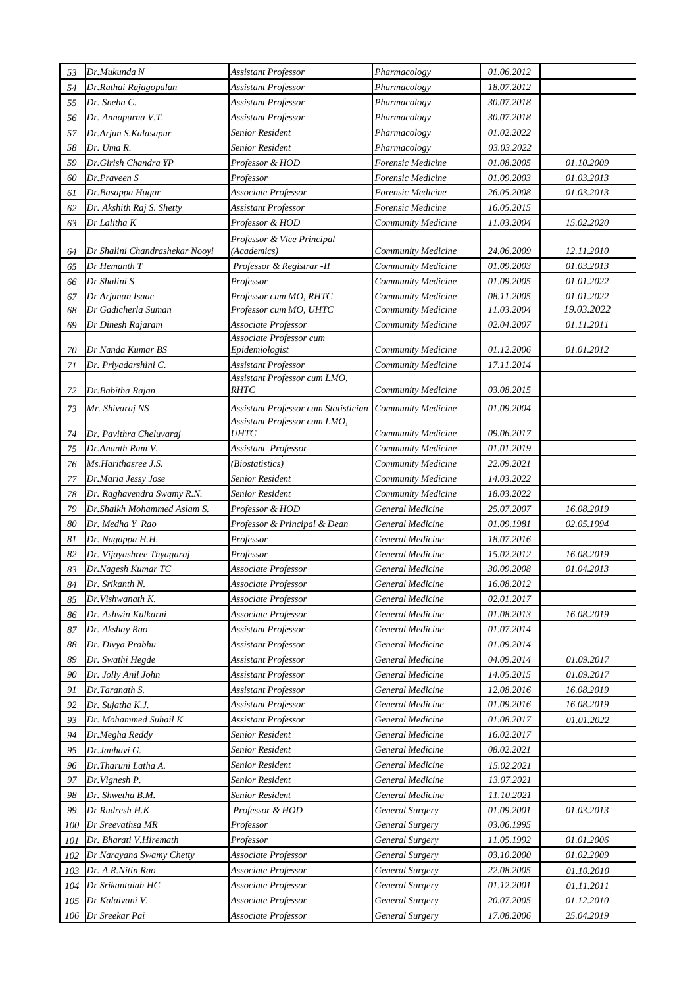| 53  | Dr.Mukunda N                   | Assistant Professor                       | Pharmacology              | 01.06.2012        |            |
|-----|--------------------------------|-------------------------------------------|---------------------------|-------------------|------------|
| 54  | Dr.Rathai Rajagopalan          | Assistant Professor                       | Pharmacology              | 18.07.2012        |            |
| 55  | Dr. Sneha C.                   | Assistant Professor                       | Pharmacology              | 30.07.2018        |            |
| 56  | Dr. Annapurna V.T.             | Assistant Professor                       | Pharmacology              | 30.07.2018        |            |
| 57  | Dr.Arjun S.Kalasapur           | Senior Resident                           | Pharmacology              | 01.02.2022        |            |
| 58  | Dr. Uma R.                     | Senior Resident                           | Pharmacology              | 03.03.2022        |            |
| 59  | Dr.Girish Chandra YP           | Professor & HOD                           | Forensic Medicine         | 01.08.2005        | 01.10.2009 |
| 60  | Dr.Praveen S                   | Professor                                 | Forensic Medicine         | 01.09.2003        | 01.03.2013 |
| 61  | Dr.Basappa Hugar               | Associate Professor                       | Forensic Medicine         | 26.05.2008        | 01.03.2013 |
| 62  | Dr. Akshith Raj S. Shetty      | Assistant Professor                       | Forensic Medicine         | 16.05.2015        |            |
| 63  | Dr Lalitha K                   | Professor & HOD                           | Community Medicine        | 11.03.2004        | 15.02.2020 |
|     |                                | Professor & Vice Principal                |                           |                   |            |
| 64  | Dr Shalini Chandrashekar Nooyi | (Academics)                               | Community Medicine        | 24.06.2009        | 12.11.2010 |
| 65  | Dr Hemanth T                   | Professor & Registrar -II                 | Community Medicine        | 01.09.2003        | 01.03.2013 |
| 66  | Dr Shalini S                   | Professor                                 | Community Medicine        | 01.09.2005        | 01.01.2022 |
| 67  | Dr Arjunan Isaac               | Professor cum MO, RHTC                    | Community Medicine        | 08.11.2005        | 01.01.2022 |
| 68  | Dr Gadicherla Suman            | Professor cum MO, UHTC                    | Community Medicine        | 11.03.2004        | 19.03.2022 |
| 69  | Dr Dinesh Rajaram              | Associate Professor                       | Community Medicine        | 02.04.2007        | 01.11.2011 |
| 70  | Dr Nanda Kumar BS              | Associate Professor cum<br>Epidemiologist | Community Medicine        | 01.12.2006        | 01.01.2012 |
| 71  | Dr. Priyadarshini C.           | Assistant Professor                       | Community Medicine        | 17.11.2014        |            |
|     |                                | Assistant Professor cum LMO,              |                           |                   |            |
| 72  | Dr.Babitha Rajan               | <b>RHTC</b>                               | Community Medicine        | 03.08.2015        |            |
| 73  | Mr. Shivaraj NS                | Assistant Professor cum Statistician      | <b>Community Medicine</b> | 01.09.2004        |            |
|     |                                | Assistant Professor cum LMO,              |                           |                   |            |
| 74  | Dr. Pavithra Cheluvaraj        | <i><b>UHTC</b></i>                        | Community Medicine        | 09.06.2017        |            |
| 75  | Dr.Ananth Ram V.               | Assistant Professor                       | Community Medicine        | 01.01.2019        |            |
| 76  | Ms.Harithasree J.S.            | (Biostatistics)                           | Community Medicine        | 22.09.2021        |            |
| 77  | Dr.Maria Jessy Jose            | Senior Resident                           | Community Medicine        | 14.03.2022        |            |
| 78  | Dr. Raghavendra Swamy R.N.     | Senior Resident                           | Community Medicine        | 18.03.2022        |            |
| 79  | Dr.Shaikh Mohammed Aslam S.    | Professor & HOD                           | <b>General Medicine</b>   | 25.07.2007        | 16.08.2019 |
| 80  | Dr. Medha Y Rao                | Professor & Principal & Dean              | <b>General Medicine</b>   | 01.09.1981        | 02.05.1994 |
| 81  | Dr. Nagappa H.H.               | Professor                                 | General Medicine          | 18.07.2016        |            |
| 82  | Dr. Vijayashree Thyagaraj      | Professor                                 | General Medicine          | 15.02.2012        | 16.08.2019 |
| 83  | Dr.Nagesh Kumar TC             | Associate Professor                       | <b>General Medicine</b>   | 30.09.2008        | 01.04.2013 |
| 84  | Dr. Srikanth N.                | Associate Professor                       | General Medicine          | 16.08.2012        |            |
| 85  | Dr.Vishwanath K.               | Associate Professor                       | General Medicine          | 02.01.2017        |            |
| 86  | Dr. Ashwin Kulkarni            | Associate Professor                       | General Medicine          | 01.08.2013        | 16.08.2019 |
| 87  | Dr. Akshay Rao                 | Assistant Professor                       | General Medicine          | 01.07.2014        |            |
| 88  | Dr. Divya Prabhu               | Assistant Professor                       | General Medicine          | 01.09.2014        |            |
| 89  | Dr. Swathi Hegde               | Assistant Professor                       | General Medicine          | 04.09.2014        | 01.09.2017 |
| 90  | Dr. Jolly Anil John            | Assistant Professor                       | General Medicine          | 14.05.2015        | 01.09.2017 |
| 91  | Dr.Taranath S.                 | Assistant Professor                       | General Medicine          | 12.08.2016        | 16.08.2019 |
| 92  | Dr. Sujatha K.J.               | Assistant Professor                       | General Medicine          | 01.09.2016        | 16.08.2019 |
| 93  | Dr. Mohammed Suhail K.         | Assistant Professor                       | General Medicine          | 01.08.2017        | 01.01.2022 |
| 94  | Dr.Megha Reddy                 | Senior Resident                           | General Medicine          | 16.02.2017        |            |
| 95  | Dr.Janhavi G.                  | Senior Resident                           | General Medicine          | 08.02.2021        |            |
| 96  | Dr.Tharuni Latha A.            | Senior Resident                           | General Medicine          | 15.02.2021        |            |
| 97  | Dr.Vignesh P.                  | Senior Resident                           | General Medicine          | 13.07.2021        |            |
| 98  | Dr. Shwetha B.M.               | Senior Resident                           | General Medicine          | 11.10.2021        |            |
| 99  | Dr Rudresh H.K                 | Professor & HOD                           | General Surgery           | <i>01.09.2001</i> | 01.03.2013 |
| 100 | Dr Sreevathsa MR               | Professor                                 | <b>General Surgery</b>    | 03.06.1995        |            |
| 101 | Dr. Bharati V.Hiremath         | Professor                                 | <b>General Surgery</b>    | 11.05.1992        | 01.01.2006 |
| 102 | Dr Narayana Swamy Chetty       | Associate Professor                       | General Surgery           | <i>03.10.2000</i> | 01.02.2009 |
| 103 | Dr. A.R.Nitin Rao              | Associate Professor                       | General Surgery           | 22.08.2005        | 01.10.2010 |
| 104 | Dr Srikantaiah HC              | Associate Professor                       | <b>General Surgery</b>    | 01.12.2001        | 01.11.2011 |
| 105 | Dr Kalaivani V.                | Associate Professor                       | General Surgery           | 20.07.2005        | 01.12.2010 |
| 106 | Dr Sreekar Pai                 | Associate Professor                       | <b>General Surgery</b>    | 17.08.2006        | 25.04.2019 |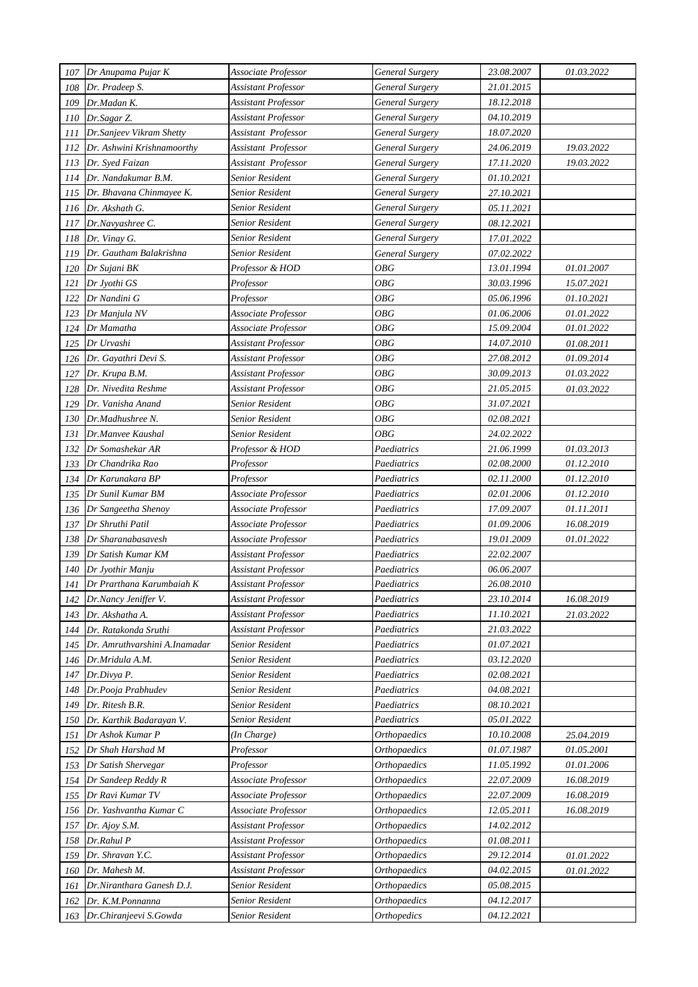| 107     | Dr Anupama Pujar K            | Associate Professor        | <b>General Surgery</b> | 23.08.2007        | 01.03.2022 |
|---------|-------------------------------|----------------------------|------------------------|-------------------|------------|
| 108     | Dr. Pradeep S.                | <b>Assistant Professor</b> | <b>General Surgery</b> | 21.01.2015        |            |
| 109     | Dr.Madan K.                   | <b>Assistant Professor</b> | General Surgery        | 18.12.2018        |            |
| 110     | Dr.Sagar Z.                   | Assistant Professor        | General Surgery        | 04.10.2019        |            |
| 111     | Dr.Sanjeev Vikram Shetty      | Assistant Professor        | General Surgery        | 18.07.2020        |            |
| 112     | Dr. Ashwini Krishnamoorthy    | Assistant Professor        | <b>General Surgery</b> | 24.06.2019        | 19.03.2022 |
| 113     | Dr. Syed Faizan               | Assistant Professor        | <b>General Surgery</b> | 17.11.2020        | 19.03.2022 |
| 114     | Dr. Nandakumar B.M.           | Senior Resident            | <b>General Surgery</b> | <i>01.10.2021</i> |            |
| 115     | Dr. Bhavana Chinmayee K.      | Senior Resident            | General Surgery        | 27.10.2021        |            |
| 116     | Dr. Akshath G.                | Senior Resident            | <b>General Surgery</b> | 05.11.2021        |            |
| 117     | Dr.Navyashree C.              | Senior Resident            | <b>General Surgery</b> | 08.12.2021        |            |
| 118     | Dr. Vinay G.                  | Senior Resident            | <b>General Surgery</b> | 17.01.2022        |            |
| 119     | Dr. Gautham Balakrishna       | Senior Resident            | <b>General Surgery</b> | 07.02.2022        |            |
| 120     | Dr Sujani BK                  | Professor & HOD            | OBG                    | 13.01.1994        | 01.01.2007 |
| 121     | Dr Jyothi GS                  | Professor                  | <b>OBG</b>             | 30.03.1996        | 15.07.2021 |
| 122     | Dr Nandini G                  | Professor                  | OBG                    | 05.06.1996        | 01.10.2021 |
| 123     | Dr Manjula NV                 | Associate Professor        | <b>OBG</b>             | 01.06.2006        | 01.01.2022 |
| 124     | Dr Mamatha                    | Associate Professor        | <b>OBG</b>             | 15.09.2004        | 01.01.2022 |
| 125     | Dr Urvashi                    | Assistant Professor        | <b>OBG</b>             | 14.07.2010        | 01.08.2011 |
| 126     | Dr. Gayathri Devi S.          | Assistant Professor        | <b>OBG</b>             | 27.08.2012        | 01.09.2014 |
| 127     | Dr. Krupa B.M.                | Assistant Professor        | <b>OBG</b>             | 30.09.2013        | 01.03.2022 |
| 128     | Dr. Nivedita Reshme           | Assistant Professor        | OBG                    | 21.05.2015        | 01.03.2022 |
| 129     | Dr. Vanisha Anand             | Senior Resident            | OBG                    | 31.07.2021        |            |
| 130     | Dr.Madhushree N.              | <b>Senior Resident</b>     | <b>OBG</b>             | 02.08.2021        |            |
| 131     | Dr.Manvee Kaushal             | Senior Resident            | OBG                    | 24.02.2022        |            |
| 132     | Dr Somashekar AR              | Professor & HOD            | Paediatrics            | 21.06.1999        | 01.03.2013 |
| 133     | Dr Chandrika Rao              | Professor                  | Paediatrics            | 02.08.2000        | 01.12.2010 |
| 134     | Dr Karunakara BP              | Professor                  | Paediatrics            | 02.11.2000        | 01.12.2010 |
| 135     | Dr Sunil Kumar BM             | Associate Professor        | Paediatrics            | <i>02.01.2006</i> | 01.12.2010 |
| 136     | Dr Sangeetha Shenoy           | Associate Professor        | Paediatrics            | 17.09.2007        | 01.11.2011 |
| 137     | Dr Shruthi Patil              | Associate Professor        | Paediatrics            | 01.09.2006        | 16.08.2019 |
| 138     | Dr Sharanabasavesh            | Associate Professor        | Paediatrics            | 19.01.2009        | 01.01.2022 |
| $139\,$ | Dr Satish Kumar KM            | Assistant Professor        | Paediatrics            | 22.02.2007        |            |
| 140     | Dr Jyothir Manju              | <b>Assistant Professor</b> | Paediatrics            | 06.06.2007        |            |
| 141     | Dr Prarthana Karumbaiah K     | Assistant Professor        | Paediatrics            | 26.08.2010        |            |
| 142     | Dr.Nancy Jeniffer V.          | <b>Assistant Professor</b> | Paediatrics            | 23.10.2014        | 16.08.2019 |
| 143     | Dr. Akshatha A.               | <b>Assistant Professor</b> | Paediatrics            | 11.10.2021        | 21.03.2022 |
| 144     | Dr. Ratakonda Sruthi          | Assistant Professor        | Paediatrics            | 21.03.2022        |            |
| 145     | Dr. Amruthvarshini A.Inamadar | Senior Resident            | Paediatrics            | 01.07.2021        |            |
| 146     | Dr.Mridula A.M.               | Senior Resident            | Paediatrics            | 03.12.2020        |            |
| 147     | Dr.Divya P.                   | Senior Resident            | Paediatrics            | 02.08.2021        |            |
| 148     | Dr.Pooja Prabhudev            | Senior Resident            | Paediatrics            | 04.08.2021        |            |
| 149     | Dr. Ritesh B.R.               | Senior Resident            | Paediatrics            | 08.10.2021        |            |
| 150     | Dr. Karthik Badarayan V.      | Senior Resident            | Paediatrics            | 05.01.2022        |            |
| 151     | Dr Ashok Kumar P              | (In Charge)                | <b>Orthopaedics</b>    | 10.10.2008        | 25.04.2019 |
| 152     | Dr Shah Harshad M             | Professor                  | <b>Orthopaedics</b>    | 01.07.1987        | 01.05.2001 |
| 153     | Dr Satish Shervegar           | Professor                  | <b>Orthopaedics</b>    | 11.05.1992        | 01.01.2006 |
| $154\,$ | Dr Sandeep Reddy R            | Associate Professor        | <b>Orthopaedics</b>    | 22.07.2009        | 16.08.2019 |
| 155     | Dr Ravi Kumar TV              | Associate Professor        | <b>Orthopaedics</b>    | 22.07.2009        | 16.08.2019 |
| 156     | Dr. Yashvantha Kumar C        | Associate Professor        | <b>Orthopaedics</b>    | 12.05.2011        | 16.08.2019 |
| 157     | Dr. Ajoy S.M.                 | <b>Assistant Professor</b> | <b>Orthopaedics</b>    | 14.02.2012        |            |
| 158     | Dr.Rahul P                    | <b>Assistant Professor</b> | <b>Orthopaedics</b>    | 01.08.2011        |            |
| 159     | Dr. Shravan Y.C.              | <b>Assistant Professor</b> | <b>Orthopaedics</b>    | 29.12.2014        | 01.01.2022 |
| 160     | Dr. Mahesh M.                 | <b>Assistant Professor</b> | <b>Orthopaedics</b>    | 04.02.2015        | 01.01.2022 |
| 161     | Dr.Niranthara Ganesh D.J.     | Senior Resident            | <b>Orthopaedics</b>    | 05.08.2015        |            |
| 162     | Dr. K.M.Ponnanna              | Senior Resident            | <b>Orthopaedics</b>    | 04.12.2017        |            |
| 163     | Dr.Chiranjeevi S.Gowda        | Senior Resident            | <b>Orthopedics</b>     | 04.12.2021        |            |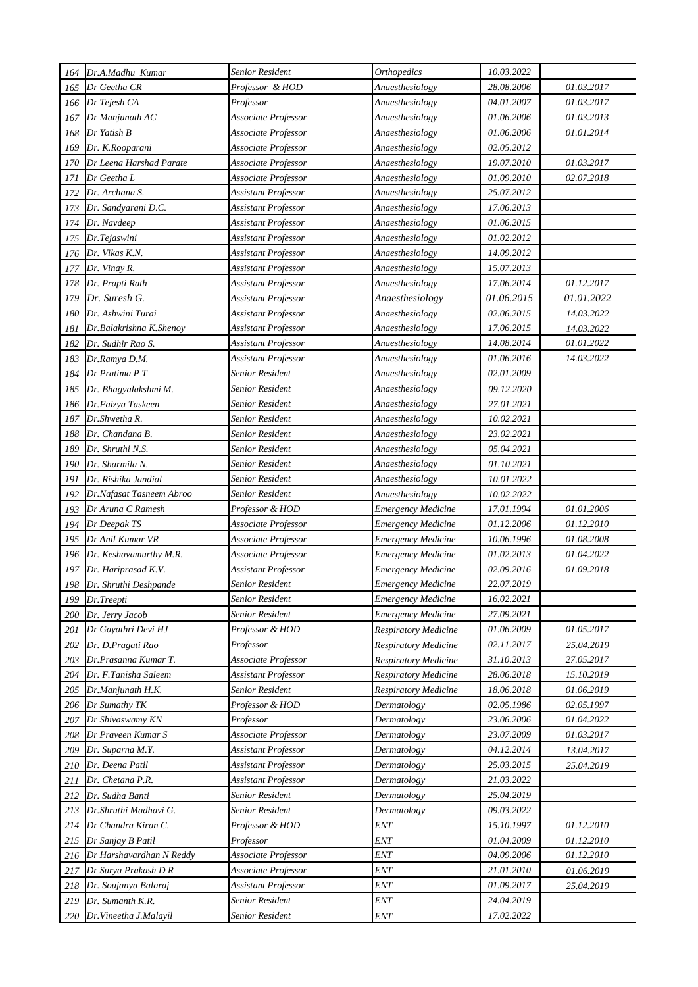| 164 | Dr.A.Madhu Kumar          | Senior Resident            | <b>Orthopedics</b>          | 10.03.2022 |            |
|-----|---------------------------|----------------------------|-----------------------------|------------|------------|
| 165 | Dr Geetha CR              | Professor & HOD            | Anaesthesiology             | 28.08.2006 | 01.03.2017 |
| 166 | Dr Tejesh CA              | Professor                  | Anaesthesiology             | 04.01.2007 | 01.03.2017 |
| 167 | Dr Manjunath AC           | Associate Professor        | Anaesthesiology             | 01.06.2006 | 01.03.2013 |
| 168 | Dr Yatish B               | Associate Professor        | Anaesthesiology             | 01.06.2006 | 01.01.2014 |
| 169 | Dr. K.Rooparani           | Associate Professor        | Anaesthesiology             | 02.05.2012 |            |
| 170 | Dr Leena Harshad Parate   | Associate Professor        | Anaesthesiology             | 19.07.2010 | 01.03.2017 |
| 171 | Dr Geetha L               | Associate Professor        | Anaesthesiology             | 01.09.2010 | 02.07.2018 |
| 172 | Dr. Archana S.            | Assistant Professor        | Anaesthesiology             | 25.07.2012 |            |
| 173 | Dr. Sandyarani D.C.       | <b>Assistant Professor</b> | Anaesthesiology             | 17.06.2013 |            |
| 174 | Dr. Navdeep               | Assistant Professor        | Anaesthesiology             | 01.06.2015 |            |
| 175 | Dr.Tejaswini              | Assistant Professor        | Anaesthesiology             | 01.02.2012 |            |
| 176 | Dr. Vikas K.N.            | Assistant Professor        | Anaesthesiology             | 14.09.2012 |            |
| 177 | Dr. Vinay R.              | Assistant Professor        | Anaesthesiology             | 15.07.2013 |            |
| 178 | Dr. Prapti Rath           | Assistant Professor        | Anaesthesiology             | 17.06.2014 | 01.12.2017 |
| 179 | Dr. Suresh G.             | Assistant Professor        | Anaesthesiology             | 01.06.2015 | 01.01.2022 |
| 180 | Dr. Ashwini Turai         | Assistant Professor        | Anaesthesiology             | 02.06.2015 | 14.03.2022 |
| 181 | Dr.Balakrishna K.Shenoy   | Assistant Professor        | Anaesthesiology             | 17.06.2015 | 14.03.2022 |
| 182 | Dr. Sudhir Rao S.         | Assistant Professor        | Anaesthesiology             | 14.08.2014 | 01.01.2022 |
| 183 | Dr.Ramya D.M.             | Assistant Professor        | Anaesthesiology             | 01.06.2016 | 14.03.2022 |
| 184 | Dr Pratima P T            | Senior Resident            | Anaesthesiology             | 02.01.2009 |            |
| 185 | Dr. Bhagyalakshmi M.      | Senior Resident            | Anaesthesiology             | 09.12.2020 |            |
| 186 | Dr.Faizya Taskeen         | <b>Senior Resident</b>     | Anaesthesiology             | 27.01.2021 |            |
| 187 | Dr.Shwetha R.             | <b>Senior Resident</b>     | Anaesthesiology             | 10.02.2021 |            |
| 188 | Dr. Chandana B.           | Senior Resident            | Anaesthesiology             | 23.02.2021 |            |
| 189 | Dr. Shruthi N.S.          | Senior Resident            | Anaesthesiology             | 05.04.2021 |            |
| 190 | Dr. Sharmila N.           | Senior Resident            | Anaesthesiology             | 01.10.2021 |            |
| 191 | Dr. Rishika Jandial       | Senior Resident            | Anaesthesiology             | 10.01.2022 |            |
| 192 | Dr.Nafasat Tasneem Abroo  | Senior Resident            | Anaesthesiology             | 10.02.2022 |            |
| 193 | Dr Aruna C Ramesh         | Professor & HOD            | <b>Emergency Medicine</b>   | 17.01.1994 | 01.01.2006 |
| 194 | Dr Deepak TS              | Associate Professor        | <b>Emergency Medicine</b>   | 01.12.2006 | 01.12.2010 |
| 195 | Dr Anil Kumar VR          | Associate Professor        | <b>Emergency Medicine</b>   | 10.06.1996 | 01.08.2008 |
| 196 | Dr. Keshavamurthy M.R.    | Associate Professor        | <b>Emergency Medicine</b>   | 01.02.2013 | 01.04.2022 |
| 197 | Dr. Hariprasad K.V.       | Assistant Professor        | <b>Emergency Medicine</b>   | 02.09.2016 | 01.09.2018 |
|     | 198 Dr. Shruthi Deshpande | Senior Resident            | <b>Emergency Medicine</b>   | 22.07.2019 |            |
| 199 | Dr.Treepti                | Senior Resident            | <b>Emergency Medicine</b>   | 16.02.2021 |            |
| 200 | Dr. Jerry Jacob           | Senior Resident            | <b>Emergency Medicine</b>   | 27.09.2021 |            |
| 201 | Dr Gayathri Devi HJ       | Professor & HOD            | <b>Respiratory Medicine</b> | 01.06.2009 | 01.05.2017 |
| 202 | Dr. D.Pragati Rao         | Professor                  | <b>Respiratory Medicine</b> | 02.11.2017 | 25.04.2019 |
| 203 | Dr.Prasanna Kumar T.      | Associate Professor        | <b>Respiratory Medicine</b> | 31.10.2013 | 27.05.2017 |
| 204 | Dr. F.Tanisha Saleem      | Assistant Professor        | <b>Respiratory Medicine</b> | 28.06.2018 | 15.10.2019 |
| 205 | Dr.Manjunath H.K.         | Senior Resident            | <b>Respiratory Medicine</b> | 18.06.2018 | 01.06.2019 |
| 206 | Dr Sumathy TK             | Professor & HOD            | Dermatology                 | 02.05.1986 | 02.05.1997 |
| 207 | Dr Shivaswamy KN          | Professor                  | Dermatology                 | 23.06.2006 | 01.04.2022 |
| 208 | Dr Praveen Kumar S        | Associate Professor        | Dermatology                 | 23.07.2009 | 01.03.2017 |
| 209 | Dr. Suparna M.Y.          | Assistant Professor        | Dermatology                 | 04.12.2014 | 13.04.2017 |
| 210 | Dr. Deena Patil           | Assistant Professor        | Dermatology                 | 25.03.2015 | 25.04.2019 |
| 211 | Dr. Chetana P.R.          | Assistant Professor        | Dermatology                 | 21.03.2022 |            |
| 212 | Dr. Sudha Banti           | Senior Resident            | Dermatology                 | 25.04.2019 |            |
| 213 | Dr.Shruthi Madhavi G.     | Senior Resident            | Dermatology                 | 09.03.2022 |            |
| 214 | Dr Chandra Kiran C.       | Professor & HOD            | ENT                         | 15.10.1997 | 01.12.2010 |
| 215 | Dr Sanjay B Patil         | Professor                  | <b>ENT</b>                  | 01.04.2009 | 01.12.2010 |
| 216 | Dr Harshavardhan N Reddy  | Associate Professor        | <b>ENT</b>                  | 04.09.2006 | 01.12.2010 |
| 217 | Dr Surya Prakash D R      | Associate Professor        | <b>ENT</b>                  | 21.01.2010 | 01.06.2019 |
| 218 | Dr. Soujanya Balaraj      | Assistant Professor        | <b>ENT</b>                  | 01.09.2017 | 25.04.2019 |
| 219 | Dr. Sumanth K.R.          | Senior Resident            | <b>ENT</b>                  | 24.04.2019 |            |
| 220 | Dr. Vineetha J. Malayil   | Senior Resident            | <b>ENT</b>                  | 17.02.2022 |            |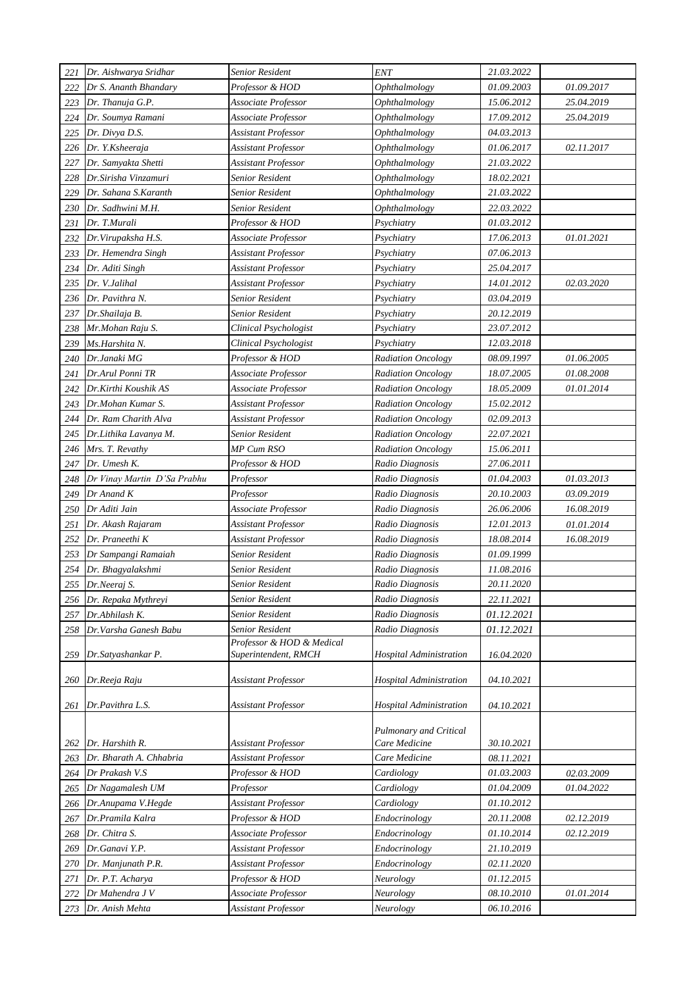| 221 | Dr. Aishwarya Sridhar       | Senior Resident                                   | <b>ENT</b>                     | 21.03.2022 |            |
|-----|-----------------------------|---------------------------------------------------|--------------------------------|------------|------------|
| 222 | Dr S. Ananth Bhandary       | Professor & HOD                                   | Ophthalmology                  | 01.09.2003 | 01.09.2017 |
| 223 | Dr. Thanuja G.P.            | Associate Professor                               | Ophthalmology                  | 15.06.2012 | 25.04.2019 |
| 224 | Dr. Soumya Ramani           | Associate Professor                               | Ophthalmology                  | 17.09.2012 | 25.04.2019 |
| 225 | Dr. Divya D.S.              | <b>Assistant Professor</b>                        | Ophthalmology                  | 04.03.2013 |            |
| 226 | Dr. Y.Ksheeraja             | Assistant Professor                               | Ophthalmology                  | 01.06.2017 | 02.11.2017 |
| 227 | Dr. Samyakta Shetti         | Assistant Professor                               | Ophthalmology                  | 21.03.2022 |            |
| 228 | Dr.Sirisha Vinzamuri        | Senior Resident                                   | Ophthalmology                  | 18.02.2021 |            |
| 229 | Dr. Sahana S.Karanth        | Senior Resident                                   | Ophthalmology                  | 21.03.2022 |            |
| 230 | Dr. Sadhwini M.H.           | <b>Senior Resident</b>                            | Ophthalmology                  | 22.03.2022 |            |
| 231 | Dr. T.Murali                | Professor & HOD                                   | Psychiatry                     | 01.03.2012 |            |
| 232 | Dr.Virupaksha H.S.          | Associate Professor                               | Psychiatry                     | 17.06.2013 | 01.01.2021 |
| 233 | Dr. Hemendra Singh          | Assistant Professor                               | Psychiatry                     | 07.06.2013 |            |
| 234 | Dr. Aditi Singh             | Assistant Professor                               | Psychiatry                     | 25.04.2017 |            |
| 235 | Dr. V.Jalihal               | <b>Assistant Professor</b>                        | Psychiatry                     | 14.01.2012 | 02.03.2020 |
| 236 | Dr. Pavithra N.             | Senior Resident                                   | Psychiatry                     | 03.04.2019 |            |
| 237 | Dr. Shailaja B.             | Senior Resident                                   | Psychiatry                     | 20.12.2019 |            |
| 238 | Mr.Mohan Raju S.            | Clinical Psychologist                             | Psychiatry                     | 23.07.2012 |            |
| 239 | Ms.Harshita N.              | Clinical Psychologist                             | Psychiatry                     | 12.03.2018 |            |
| 240 | Dr.Janaki MG                | Professor & HOD                                   | <b>Radiation Oncology</b>      | 08.09.1997 | 01.06.2005 |
| 241 | Dr.Arul Ponni TR            | Associate Professor                               | Radiation Oncology             | 18.07.2005 | 01.08.2008 |
| 242 | Dr.Kirthi Koushik AS        | Associate Professor                               | <b>Radiation Oncology</b>      | 18.05.2009 | 01.01.2014 |
| 243 | Dr.Mohan Kumar S.           | <b>Assistant Professor</b>                        | <b>Radiation Oncology</b>      | 15.02.2012 |            |
| 244 | Dr. Ram Charith Alva        | Assistant Professor                               | <b>Radiation Oncology</b>      | 02.09.2013 |            |
| 245 | Dr.Lithika Lavanya M.       | Senior Resident                                   | <b>Radiation Oncology</b>      | 22.07.2021 |            |
| 246 | Mrs. T. Revathy             | MP Cum RSO                                        | <b>Radiation Oncology</b>      | 15.06.2011 |            |
| 247 | Dr. Umesh K.                | Professor & HOD                                   | Radio Diagnosis                | 27.06.2011 |            |
| 248 | Dr Vinay Martin D'Sa Prabhu | Professor                                         | Radio Diagnosis                | 01.04.2003 | 01.03.2013 |
| 249 | $Dr$ Anand $K$              | Professor                                         | Radio Diagnosis                | 20.10.2003 | 03.09.2019 |
| 250 | Dr Aditi Jain               | Associate Professor                               | Radio Diagnosis                | 26.06.2006 | 16.08.2019 |
| 251 | Dr. Akash Rajaram           | Assistant Professor                               | Radio Diagnosis                | 12.01.2013 | 01.01.2014 |
| 252 | Dr. Praneethi K             | Assistant Professor                               | Radio Diagnosis                | 18.08.2014 | 16.08.2019 |
| 253 | Dr Sampangi Ramaiah         | Senior Resident                                   | Radio Diagnosis                | 01.09.1999 |            |
| 254 | Dr. Bhagyalakshmi           | Senior Resident                                   | Radio Diagnosis                | 11.08.2016 |            |
|     | 255 Dr.Neeraj S.            | <b>Senior Resident</b>                            | Radio Diagnosis                | 20.11.2020 |            |
| 256 | Dr. Repaka Mythreyi         | Senior Resident                                   | Radio Diagnosis                | 22.11.2021 |            |
| 257 | Dr.Abhilash K.              | Senior Resident                                   | Radio Diagnosis                | 01.12.2021 |            |
| 258 | Dr.Varsha Ganesh Babu       | Senior Resident                                   | Radio Diagnosis                | 01.12.2021 |            |
| 259 | Dr.Satyashankar P.          | Professor & HOD & Medical<br>Superintendent, RMCH | <b>Hospital Administration</b> | 16.04.2020 |            |
| 260 | Dr.Reeja Raju               | <b>Assistant Professor</b>                        | <b>Hospital Administration</b> | 04.10.2021 |            |
| 261 | Dr.Pavithra L.S.            | <b>Assistant Professor</b>                        | <b>Hospital Administration</b> | 04.10.2021 |            |
|     |                             |                                                   | Pulmonary and Critical         |            |            |
| 262 | Dr. Harshith R.             | Assistant Professor                               | Care Medicine                  | 30.10.2021 |            |
| 263 | Dr. Bharath A. Chhabria     | <b>Assistant Professor</b>                        | Care Medicine                  | 08.11.2021 |            |
| 264 | Dr Prakash V.S              | Professor & HOD                                   | Cardiology                     | 01.03.2003 | 02.03.2009 |
| 265 | Dr Nagamalesh UM            | Professor                                         | Cardiology                     | 01.04.2009 | 01.04.2022 |
| 266 | Dr.Anupama V.Hegde          | Assistant Professor                               | Cardiology                     | 01.10.2012 |            |
| 267 | Dr.Pramila Kalra            | Professor & HOD                                   | Endocrinology                  | 20.11.2008 | 02.12.2019 |
| 268 | Dr. Chitra S.               | Associate Professor                               | Endocrinology                  | 01.10.2014 | 02.12.2019 |
| 269 | Dr.Ganavi Y.P.              | <b>Assistant Professor</b>                        | Endocrinology                  | 21.10.2019 |            |
| 270 | Dr. Manjunath P.R.          | <b>Assistant Professor</b>                        | Endocrinology                  | 02.11.2020 |            |
| 271 | Dr. P.T. Acharya            | Professor & HOD                                   | Neurology                      | 01.12.2015 |            |
| 272 | Dr Mahendra J V             | Associate Professor                               | Neurology                      | 08.10.2010 | 01.01.2014 |
| 273 | Dr. Anish Mehta             | <b>Assistant Professor</b>                        | Neurology                      | 06.10.2016 |            |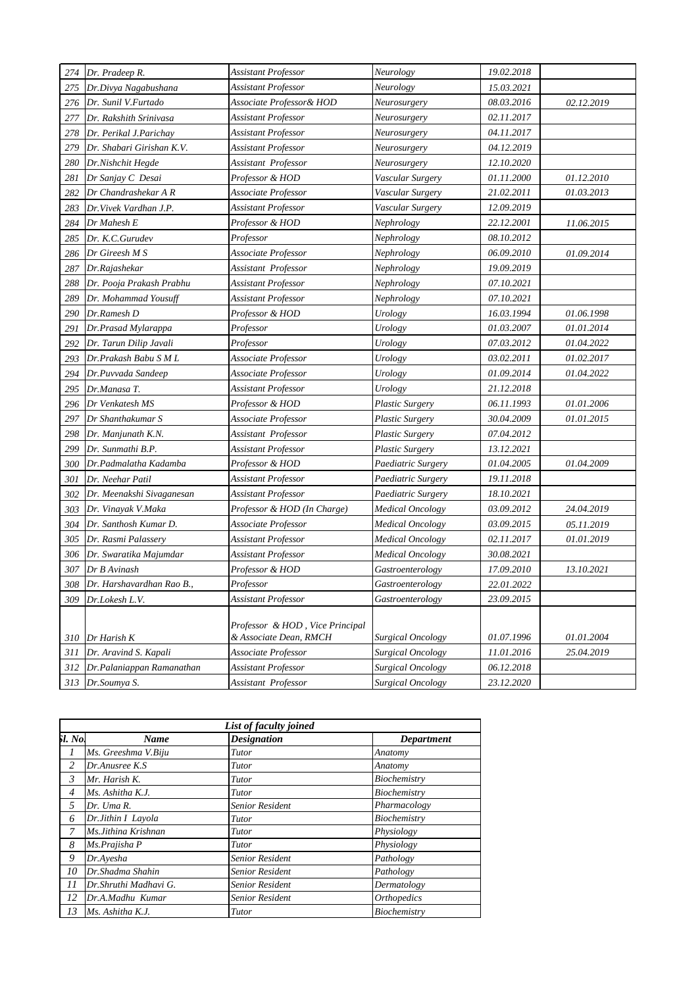| 274 | Dr. Pradeep R.                                     | <b>Assistant Professor</b>                                | Neurology               | 19.02.2018 |            |
|-----|----------------------------------------------------|-----------------------------------------------------------|-------------------------|------------|------------|
| 275 | Dr.Divya Nagabushana                               | Assistant Professor                                       | Neurology               | 15.03.2021 |            |
| 276 | Dr. Sunil V.Furtado                                | Associate Professor& HOD                                  | Neurosurgery            | 08.03.2016 | 02.12.2019 |
| 277 | Dr. Rakshith Srinivasa                             | Assistant Professor                                       | Neurosurgery            | 02.11.2017 |            |
| 278 | Dr. Perikal J.Parichay                             | Assistant Professor                                       | Neurosurgery            | 04.11.2017 |            |
| 279 | Dr. Shabari Girishan K.V.                          | Assistant Professor                                       | Neurosurgery            | 04.12.2019 |            |
| 280 | Dr.Nishchit Hegde                                  | Assistant Professor                                       | Neurosurgery            | 12.10.2020 |            |
| 281 | Dr Sanjay C Desai                                  | Professor & HOD                                           | Vascular Surgery        | 01.11.2000 | 01.12.2010 |
| 282 | Dr Chandrashekar A R                               | Associate Professor                                       | Vascular Surgery        | 21.02.2011 | 01.03.2013 |
| 283 | Dr.Vivek Vardhan J.P.                              | Assistant Professor                                       | Vascular Surgery        | 12.09.2019 |            |
| 284 | Dr Mahesh E                                        | Professor & HOD                                           | Nephrology              | 22.12.2001 | 11.06.2015 |
| 285 | Dr. K.C.Gurudev                                    | Professor                                                 | Nephrology              | 08.10.2012 |            |
| 286 | Dr Gireesh M S                                     | Associate Professor                                       | Nephrology              | 06.09.2010 | 01.09.2014 |
| 287 | Dr.Rajashekar                                      | Assistant Professor                                       | Nephrology              | 19.09.2019 |            |
| 288 | Dr. Pooja Prakash Prabhu                           | Assistant Professor                                       | Nephrology              | 07.10.2021 |            |
| 289 | Dr. Mohammad Yousuff                               | Assistant Professor                                       | Nephrology              | 07.10.2021 |            |
| 290 | Dr.Ramesh D                                        | Professor & HOD                                           | Urology                 | 16.03.1994 | 01.06.1998 |
| 291 | Dr.Prasad Mylarappa                                | Professor                                                 | Urology                 | 01.03.2007 | 01.01.2014 |
| 292 | Dr. Tarun Dilip Javali                             | Professor                                                 | Urology                 | 07.03.2012 | 01.04.2022 |
| 293 | Dr.Prakash Babu S M L                              | Associate Professor                                       | Urology                 | 03.02.2011 | 01.02.2017 |
| 294 | Dr.Puvvada Sandeep                                 | Associate Professor                                       | Urology                 | 01.09.2014 | 01.04.2022 |
| 295 | Dr.Manasa T.                                       | Assistant Professor                                       | Urology                 | 21.12.2018 |            |
| 296 | Dr Venkatesh MS                                    | Professor & HOD                                           | <b>Plastic Surgery</b>  | 06.11.1993 | 01.01.2006 |
| 297 | Dr Shanthakumar S                                  | Associate Professor                                       | Plastic Surgery         | 30.04.2009 | 01.01.2015 |
| 298 | Dr. Manjunath K.N.                                 | Assistant Professor                                       | Plastic Surgery         | 07.04.2012 |            |
| 299 | Dr. Sunmathi B.P.                                  | Assistant Professor                                       | Plastic Surgery         | 13.12.2021 |            |
| 300 | Dr.Padmalatha Kadamba                              | Professor & HOD                                           | Paediatric Surgery      | 01.04.2005 | 01.04.2009 |
| 301 | Dr. Neehar Patil                                   | Assistant Professor                                       | Paediatric Surgery      | 19.11.2018 |            |
| 302 | Dr. Meenakshi Sivaganesan                          | Assistant Professor                                       | Paediatric Surgery      | 18.10.2021 |            |
| 303 | Dr. Vinayak V.Maka                                 | Professor & HOD (In Charge)                               | <b>Medical Oncology</b> | 03.09.2012 | 24.04.2019 |
| 304 | Dr. Santhosh Kumar D.                              | Associate Professor                                       | Medical Oncology        | 03.09.2015 | 05.11.2019 |
| 305 | Dr. Rasmi Palasserv                                | Assistant Professor                                       | <b>Medical Oncology</b> | 02.11.2017 | 01.01.2019 |
| 306 | Dr. Swaratika Majumdar                             | Assistant Professor                                       | <b>Medical Oncology</b> | 30.08.2021 |            |
| 307 | Dr B Avinash                                       | Professor & HOD                                           | Gastroenterology        | 17.09.2010 | 13.10.2021 |
|     | 308 Dr. Harshavardhan Rao B.,                      | $\label{eq:3} Professor$                                  | Gastroenterology        | 22.01.2022 |            |
| 309 | Dr.Lokesh L.V.                                     | <b>Assistant Professor</b>                                | Gastroenterology        | 23.09.2015 |            |
|     |                                                    |                                                           |                         |            |            |
|     |                                                    | Professor & HOD, Vice Principal<br>& Associate Dean, RMCH | Surgical Oncology       | 01.07.1996 | 01.01.2004 |
| 310 | Dr Harish K                                        | Associate Professor                                       | Surgical Oncology       | 11.01.2016 | 25.04.2019 |
| 311 | Dr. Aravind S. Kapali<br>Dr.Palaniappan Ramanathan | Assistant Professor                                       | Surgical Oncology       | 06.12.2018 |            |
| 312 |                                                    |                                                           | Surgical Oncology       |            |            |
|     | 313 Dr.Soumya S.                                   | Assistant Professor                                       |                         | 23.12.2020 |            |

|                | List of faculty joined |                        |                    |  |  |
|----------------|------------------------|------------------------|--------------------|--|--|
| 51. No.        | Name                   | <b>Designation</b>     | Department         |  |  |
| 1              | Ms. Greeshma V.Biju    | Tutor                  | Anatomy            |  |  |
| $\overline{c}$ | Dr.Anusree K.S.        | Tutor                  | Anatomy            |  |  |
| 3              | Mr. Harish K.          | Tutor                  | Biochemistry       |  |  |
| $\overline{4}$ | $Ms.$ Ashitha $K.I.$   | Tutor                  | Biochemistry       |  |  |
| .5             | Dr. Uma R.             | Senior Resident        | Pharmacology       |  |  |
| 6              | Dr.Jithin I Layola     | Tutor                  | Biochemistry       |  |  |
| 7              | Ms. Jithina Krishnan   | Tutor                  | Physiology         |  |  |
| 8              | Ms.Prajisha P          | Tutor                  | Physiology         |  |  |
| 9              | Dr.Ayesha              | <b>Senior Resident</b> | Pathology          |  |  |
| 10             | Dr.Shadma Shahin       | Senior Resident        | Pathology          |  |  |
| 11             | Dr. Shruthi Madhavi G. | Senior Resident        | Dermatology        |  |  |
| 12             | Dr.A.Madhu Kumar       | Senior Resident        | <b>Orthopedics</b> |  |  |
| 13             | Ms. Ashitha K.J.       | Tutor                  | Biochemistry       |  |  |